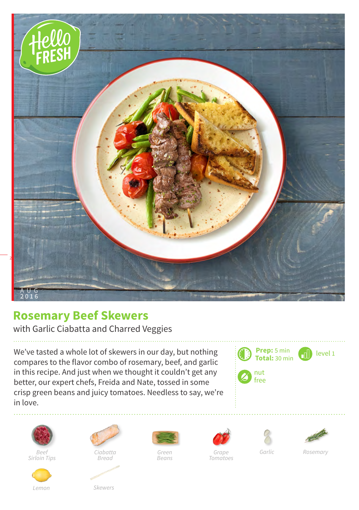

## **Rosemary Beef Skewers**

with Garlic Ciabatta and Charred Veggies

We've tasted a whole lot of skewers in our day, but nothing compares to the flavor combo of rosemary, beef, and garlic in this recipe. And just when we thought it couldn't get any better, our expert chefs, Freida and Nate, tossed in some crisp green beans and juicy tomatoes. Needless to say, we're in love.





*Sirloin Tips*



*Ciabatta Bread*



*Green Beans*







*Tomatoes*

*Rosemary*

*Lemon Skewers*